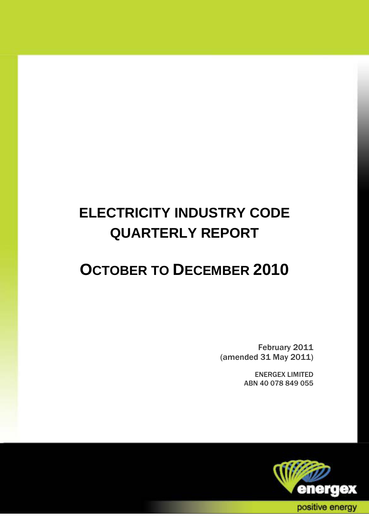# **ELECTRICITY INDUSTRY CODE QUARTERLY REPORT**

## **OCTOBER TO DECEMBER 2010**

February 2011 (amended 31 May 2011)

> ENERGEX LIMITED ABN 40 078 849 055

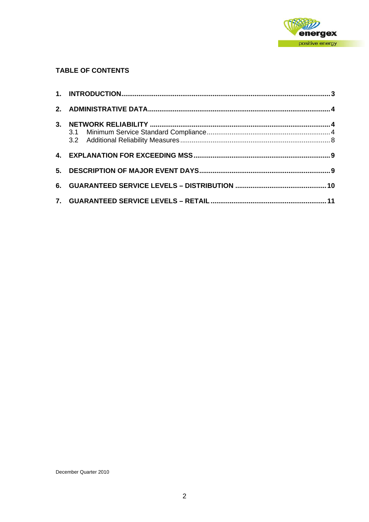

#### **TABLE OF CONTENTS**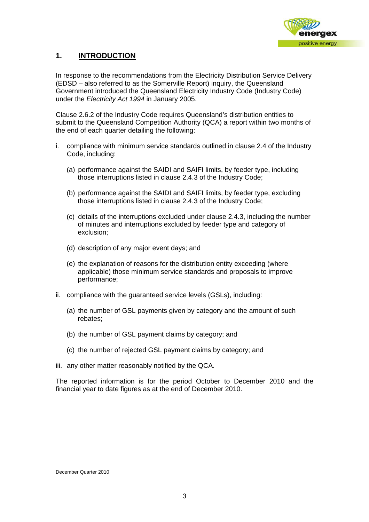

### **1. INTRODUCTION**

In response to the recommendations from the Electricity Distribution Service Delivery (EDSD – also referred to as the Somerville Report) inquiry, the Queensland Government introduced the Queensland Electricity Industry Code (Industry Code) under the *Electricity Act 1994* in January 2005.

Clause 2.6.2 of the Industry Code requires Queensland's distribution entities to submit to the Queensland Competition Authority (QCA) a report within two months of the end of each quarter detailing the following:

- i. compliance with minimum service standards outlined in clause 2.4 of the Industry Code, including:
	- (a) performance against the SAIDI and SAIFI limits, by feeder type, including those interruptions listed in clause 2.4.3 of the Industry Code;
	- (b) performance against the SAIDI and SAIFI limits, by feeder type, excluding those interruptions listed in clause 2.4.3 of the Industry Code;
	- (c) details of the interruptions excluded under clause 2.4.3, including the number of minutes and interruptions excluded by feeder type and category of exclusion;
	- (d) description of any major event days; and
	- (e) the explanation of reasons for the distribution entity exceeding (where applicable) those minimum service standards and proposals to improve performance;
- ii. compliance with the guaranteed service levels (GSLs), including:
	- (a) the number of GSL payments given by category and the amount of such rebates;
	- (b) the number of GSL payment claims by category; and
	- (c) the number of rejected GSL payment claims by category; and
- iii. any other matter reasonably notified by the QCA.

The reported information is for the period October to December 2010 and the financial year to date figures as at the end of December 2010.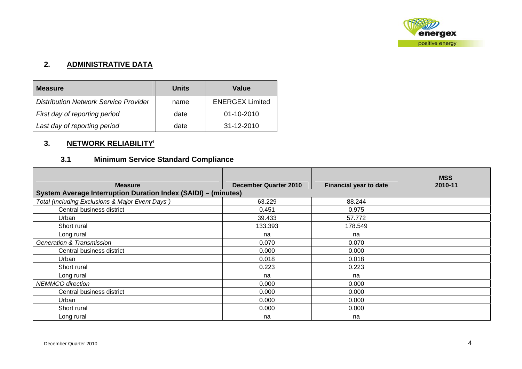

#### **2. ADMINISTRATIVE DATA**

| <b>Measure</b>                               | Units | Value                  |  |  |
|----------------------------------------------|-------|------------------------|--|--|
| <b>Distribution Network Service Provider</b> | name  | <b>ENERGEX Limited</b> |  |  |
| First day of reporting period                | date  | 01-10-2010             |  |  |
| Last day of reporting period                 | date  | 31-12-2010             |  |  |

## **3. NETWORK RELIABILITY<sup>i</sup>**

## **3.1 Minimum Service Standard Compliance**

| <b>Measure</b>                                                 | December Quarter 2010 | <b>Financial year to date</b> | <b>MSS</b><br>2010-11 |
|----------------------------------------------------------------|-----------------------|-------------------------------|-----------------------|
| System Average Interruption Duration Index (SAIDI) - (minutes) |                       |                               |                       |
| Total (Including Exclusions & Major Event Days <sup>ii</sup> ) | 63.229                | 88.244                        |                       |
| Central business district                                      | 0.451                 | 0.975                         |                       |
| Urban                                                          | 39.433                | 57.772                        |                       |
| Short rural                                                    | 133.393               | 178.549                       |                       |
| Long rural                                                     | na                    | na                            |                       |
| <b>Generation &amp; Transmission</b>                           | 0.070                 | 0.070                         |                       |
| Central business district                                      | 0.000                 | 0.000                         |                       |
| Urban                                                          | 0.018                 | 0.018                         |                       |
| Short rural                                                    | 0.223                 | 0.223                         |                       |
| Long rural                                                     | na                    | na                            |                       |
| <b>NEMMCO</b> direction                                        | 0.000                 | 0.000                         |                       |
| Central business district                                      | 0.000                 | 0.000                         |                       |
| Urban                                                          | 0.000                 | 0.000                         |                       |
| Short rural                                                    | 0.000                 | 0.000                         |                       |
| Long rural                                                     | na                    | na                            |                       |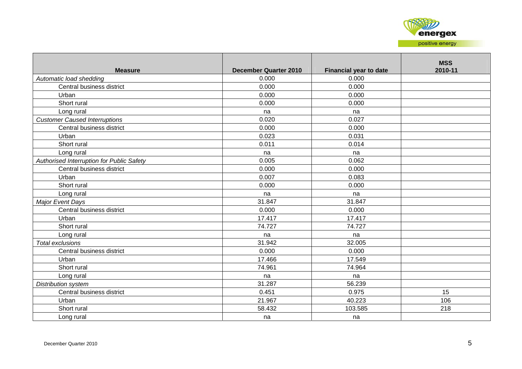

| <b>Measure</b>                            | <b>December Quarter 2010</b> | <b>Financial year to date</b> | <b>MSS</b><br>2010-11 |
|-------------------------------------------|------------------------------|-------------------------------|-----------------------|
| Automatic load shedding                   | 0.000                        | 0.000                         |                       |
| Central business district                 | 0.000                        | 0.000                         |                       |
| Urban                                     | 0.000                        | 0.000                         |                       |
| Short rural                               | 0.000                        | 0.000                         |                       |
| Long rural                                | na                           | na                            |                       |
| <b>Customer Caused Interruptions</b>      | 0.020                        | 0.027                         |                       |
| Central business district                 | 0.000                        | 0.000                         |                       |
| Urban                                     | 0.023                        | 0.031                         |                       |
| Short rural                               | 0.011                        | 0.014                         |                       |
| Long rural                                | na                           | na                            |                       |
| Authorised Interruption for Public Safety | 0.005                        | 0.062                         |                       |
| Central business district                 | 0.000                        | 0.000                         |                       |
| Urban                                     | 0.007                        | 0.083                         |                       |
| Short rural                               | 0.000                        | 0.000                         |                       |
| Long rural                                | na                           | na                            |                       |
| Major Event Days                          | 31.847                       | 31.847                        |                       |
| Central business district                 | 0.000                        | 0.000                         |                       |
| Urban                                     | 17.417                       | 17.417                        |                       |
| Short rural                               | 74.727                       | 74.727                        |                       |
| Long rural                                | na                           | na                            |                       |
| Total exclusions                          | 31.942                       | 32.005                        |                       |
| Central business district                 | 0.000                        | 0.000                         |                       |
| Urban                                     | 17.466                       | 17.549                        |                       |
| Short rural                               | 74.961                       | 74.964                        |                       |
| Long rural                                | na                           | na                            |                       |
| Distribution system                       | 31.287                       | 56.239                        |                       |
| Central business district                 | 0.451                        | 0.975                         | 15                    |
| Urban                                     | 21.967                       | 40.223                        | 106                   |
| Short rural                               | 58.432                       | 103.585                       | 218                   |
| Long rural                                | na                           | na                            |                       |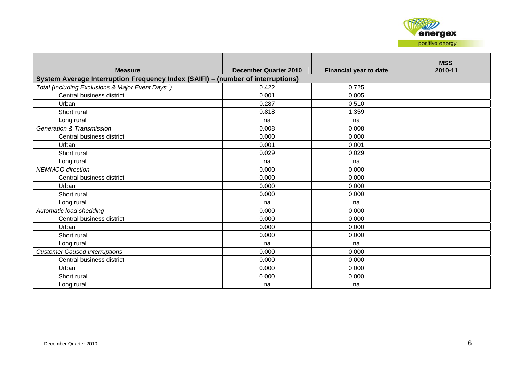

| <b>Measure</b>                                                                  | December Quarter 2010 | <b>Financial year to date</b> | <b>MSS</b><br>2010-11 |  |  |  |  |  |
|---------------------------------------------------------------------------------|-----------------------|-------------------------------|-----------------------|--|--|--|--|--|
| System Average Interruption Frequency Index (SAIFI) - (number of interruptions) |                       |                               |                       |  |  |  |  |  |
| Total (Including Exclusions & Major Event Days <sup>iii</sup> )                 | 0.422                 | 0.725                         |                       |  |  |  |  |  |
| Central business district                                                       | 0.001                 | 0.005                         |                       |  |  |  |  |  |
| Urban                                                                           | 0.287                 | 0.510                         |                       |  |  |  |  |  |
| Short rural                                                                     | 0.818                 | 1.359                         |                       |  |  |  |  |  |
| Long rural                                                                      | na                    | na                            |                       |  |  |  |  |  |
| <b>Generation &amp; Transmission</b>                                            | 0.008                 | 0.008                         |                       |  |  |  |  |  |
| Central business district                                                       | 0.000                 | 0.000                         |                       |  |  |  |  |  |
| Urban                                                                           | 0.001                 | 0.001                         |                       |  |  |  |  |  |
| Short rural                                                                     | 0.029                 | 0.029                         |                       |  |  |  |  |  |
| Long rural                                                                      | na                    | na                            |                       |  |  |  |  |  |
| <b>NEMMCO</b> direction                                                         | 0.000                 | 0.000                         |                       |  |  |  |  |  |
| Central business district                                                       | 0.000                 | 0.000                         |                       |  |  |  |  |  |
| Urban                                                                           | 0.000                 | 0.000                         |                       |  |  |  |  |  |
| Short rural                                                                     | 0.000                 | 0.000                         |                       |  |  |  |  |  |
| Long rural                                                                      | na                    | na                            |                       |  |  |  |  |  |
| Automatic load shedding                                                         | 0.000                 | 0.000                         |                       |  |  |  |  |  |
| Central business district                                                       | 0.000                 | 0.000                         |                       |  |  |  |  |  |
| Urban                                                                           | 0.000                 | 0.000                         |                       |  |  |  |  |  |
| Short rural                                                                     | 0.000                 | 0.000                         |                       |  |  |  |  |  |
| Long rural                                                                      | na                    | na                            |                       |  |  |  |  |  |
| <b>Customer Caused Interruptions</b>                                            | 0.000                 | 0.000                         |                       |  |  |  |  |  |
| Central business district                                                       | 0.000                 | 0.000                         |                       |  |  |  |  |  |
| Urban                                                                           | 0.000                 | 0.000                         |                       |  |  |  |  |  |
| Short rural                                                                     | 0.000                 | 0.000                         |                       |  |  |  |  |  |
| Long rural                                                                      | na                    | na                            |                       |  |  |  |  |  |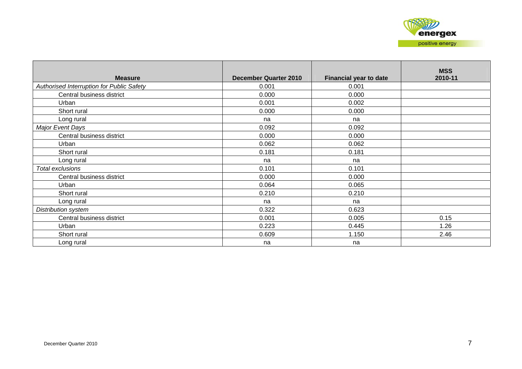| <b>Measure</b>                            | <b>December Quarter 2010</b> | <b>Financial year to date</b> | <b>MSS</b><br>2010-11 |
|-------------------------------------------|------------------------------|-------------------------------|-----------------------|
| Authorised Interruption for Public Safety | 0.001                        | 0.001                         |                       |
| Central business district                 | 0.000                        | 0.000                         |                       |
| Urban                                     | 0.001                        | 0.002                         |                       |
| Short rural                               | 0.000                        | 0.000                         |                       |
| Long rural                                | na                           | na                            |                       |
| Major Event Days                          | 0.092                        | 0.092                         |                       |
| Central business district                 | 0.000                        | 0.000                         |                       |
| Urban                                     | 0.062                        | 0.062                         |                       |
| Short rural                               | 0.181                        | 0.181                         |                       |
| Long rural                                | na                           | na                            |                       |
| Total exclusions                          | 0.101                        | 0.101                         |                       |
| Central business district                 | 0.000                        | 0.000                         |                       |
| Urban                                     | 0.064                        | 0.065                         |                       |
| Short rural                               | 0.210                        | 0.210                         |                       |
| Long rural                                | na                           | na                            |                       |
| Distribution system                       | 0.322                        | 0.623                         |                       |
| Central business district                 | 0.001                        | 0.005                         | 0.15                  |
| Urban                                     | 0.223                        | 0.445                         | 1.26                  |
| Short rural                               | 0.609                        | 1.150                         | 2.46                  |
| Long rural                                | na                           | na                            |                       |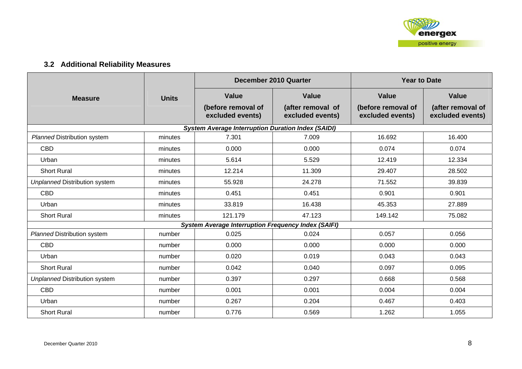## **3.2 Additional Reliability Measures**

|                                      |              |                                                            | December 2010 Quarter                 | <b>Year to Date</b>                    |                                       |  |
|--------------------------------------|--------------|------------------------------------------------------------|---------------------------------------|----------------------------------------|---------------------------------------|--|
| <b>Measure</b>                       | <b>Units</b> | Value                                                      | Value                                 | <b>Value</b>                           | Value                                 |  |
|                                      |              | (before removal of<br>excluded events)                     | (after removal of<br>excluded events) | (before removal of<br>excluded events) | (after removal of<br>excluded events) |  |
|                                      |              | <b>System Average Interruption Duration Index (SAIDI)</b>  |                                       |                                        |                                       |  |
| <b>Planned Distribution system</b>   | minutes      | 7.301                                                      | 7.009                                 | 16.692                                 | 16.400                                |  |
| <b>CBD</b>                           | minutes      | 0.000                                                      | 0.000                                 | 0.074                                  | 0.074                                 |  |
| Urban                                | minutes      | 5.614                                                      | 5.529                                 | 12.419                                 | 12.334                                |  |
| <b>Short Rural</b>                   | minutes      | 12.214                                                     | 11.309                                | 29.407                                 | 28.502                                |  |
| <b>Unplanned Distribution system</b> | minutes      | 55.928                                                     | 24.278                                | 71.552                                 | 39.839                                |  |
| <b>CBD</b>                           | minutes      | 0.451                                                      | 0.451                                 | 0.901                                  | 0.901                                 |  |
| Urban<br>minutes                     |              | 33.819                                                     | 16.438                                | 45.353                                 | 27.889                                |  |
| <b>Short Rural</b>                   | minutes      | 121.179                                                    | 47.123                                | 149.142                                | 75.082                                |  |
|                                      |              | <b>System Average Interruption Frequency Index (SAIFI)</b> |                                       |                                        |                                       |  |
| <b>Planned Distribution system</b>   | number       | 0.025                                                      | 0.024                                 | 0.057                                  | 0.056                                 |  |
| <b>CBD</b>                           | number       | 0.000                                                      | 0.000                                 | 0.000                                  | 0.000                                 |  |
| Urban                                | number       | 0.020                                                      | 0.019                                 | 0.043                                  | 0.043                                 |  |
| <b>Short Rural</b>                   | number       | 0.042                                                      | 0.040                                 | 0.097                                  | 0.095                                 |  |
| <b>Unplanned Distribution system</b> | number       | 0.397                                                      | 0.297                                 | 0.668                                  | 0.568                                 |  |
| <b>CBD</b>                           | number       | 0.001                                                      | 0.001                                 | 0.004                                  | 0.004                                 |  |
| Urban                                | number       | 0.267                                                      | 0.204                                 | 0.467                                  | 0.403                                 |  |
| <b>Short Rural</b>                   | number       | 0.776                                                      | 0.569                                 | 1.262                                  | 1.055                                 |  |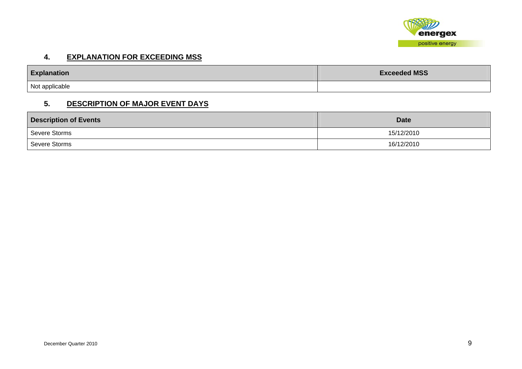

#### **4. EXPLANATION FOR EXCEEDING MSS**

| <b>Explanation</b> | <b>Exceeded MSS</b> |
|--------------------|---------------------|
| Not applicable     |                     |

#### **5. DESCRIPTION OF MAJOR EVENT DAYS**

| <b>Description of Events</b> | <b>Date</b> |
|------------------------------|-------------|
| Severe Storms                | 15/12/2010  |
| Severe Storms                | 16/12/2010  |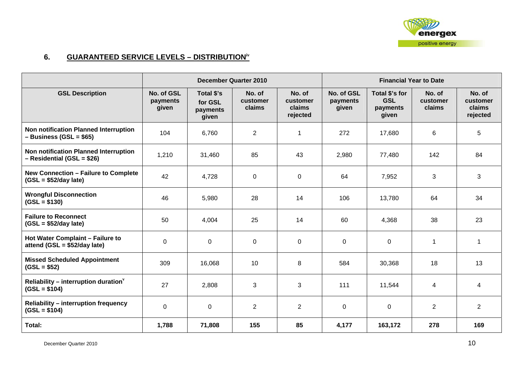

## **6. GUARANTEED SERVICE LEVELS – DISTRIBUTIONiv**

|                                                                       |                                 |                                            | December Quarter 2010        |                                          | <b>Financial Year to Date</b>   |                                                   |                              |                                          |
|-----------------------------------------------------------------------|---------------------------------|--------------------------------------------|------------------------------|------------------------------------------|---------------------------------|---------------------------------------------------|------------------------------|------------------------------------------|
| <b>GSL Description</b>                                                | No. of GSL<br>payments<br>given | Total \$'s<br>for GSL<br>payments<br>given | No. of<br>customer<br>claims | No. of<br>customer<br>claims<br>rejected | No. of GSL<br>payments<br>given | Total \$'s for<br><b>GSL</b><br>payments<br>given | No. of<br>customer<br>claims | No. of<br>customer<br>claims<br>rejected |
| Non notification Planned Interruption<br>$-$ Business (GSL = \$65)    | 104                             | 6,760                                      | $\overline{2}$               | 1                                        | 272                             | 17,680                                            | 6                            | 5                                        |
| Non notification Planned Interruption<br>$-$ Residential (GSL = \$26) | 1,210                           | 31,460                                     | 85                           | 43                                       | 2,980                           | 77,480                                            | 142                          | 84                                       |
| <b>New Connection - Failure to Complete</b><br>$(GSL = $52/day$ late) | 42                              | 4,728                                      | $\mathbf 0$                  | $\mathbf 0$                              | 64                              | 7,952                                             | 3                            | 3                                        |
| <b>Wrongful Disconnection</b><br>$(GSL = $130)$                       | 46                              | 5,980                                      | 28                           | 14                                       | 106                             | 13,780                                            | 64                           | 34                                       |
| <b>Failure to Reconnect</b><br>$(GSL = $52/day$ late)                 | 50                              | 4,004                                      | 25                           | 14                                       | 60                              | 4,368                                             | 38                           | 23                                       |
| Hot Water Complaint - Failure to<br>attend (GSL = $$52/day$ late)     | 0                               | $\mathbf 0$                                | 0                            | $\mathbf 0$                              | 0                               | 0                                                 | 1                            | $\mathbf 1$                              |
| <b>Missed Scheduled Appointment</b><br>$(GSL = $52)$                  | 309                             | 16,068                                     | 10                           | 8                                        | 584                             | 30,368                                            | 18                           | 13                                       |
| Reliability – interruption duration $v$<br>$(GSL = $104)$             | 27                              | 2,808                                      | 3                            | 3                                        | 111                             | 11,544                                            | 4                            | 4                                        |
| <b>Reliability - interruption frequency</b><br>$(GSL = $104)$         | 0                               | 0                                          | $\overline{2}$               | $\overline{2}$                           | 0                               | $\mathbf 0$                                       | $\overline{2}$               | $\overline{2}$                           |
| Total:                                                                | 1,788                           | 71,808                                     | 155                          | 85                                       | 4,177                           | 163,172                                           | 278                          | 169                                      |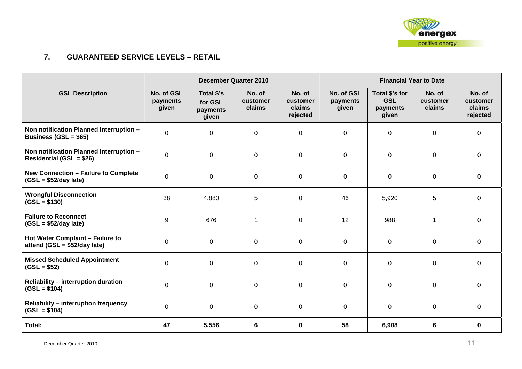

## **7. GUARANTEED SERVICE LEVELS – RETAIL**

|                                                                            |                                 |                                            | <b>December Quarter 2010</b> |                                          | <b>Financial Year to Date</b>   |                                                   |                              |                                          |
|----------------------------------------------------------------------------|---------------------------------|--------------------------------------------|------------------------------|------------------------------------------|---------------------------------|---------------------------------------------------|------------------------------|------------------------------------------|
| <b>GSL Description</b>                                                     | No. of GSL<br>payments<br>given | Total \$'s<br>for GSL<br>payments<br>given | No. of<br>customer<br>claims | No. of<br>customer<br>claims<br>rejected | No. of GSL<br>payments<br>given | Total \$'s for<br><b>GSL</b><br>payments<br>given | No. of<br>customer<br>claims | No. of<br>customer<br>claims<br>rejected |
| Non notification Planned Interruption -<br>Business (GSL = $$65$ )         | $\mathbf 0$                     | $\mathbf 0$                                | $\mathbf 0$                  | $\mathbf 0$                              | $\mathbf 0$                     | $\mathbf 0$                                       | 0                            | 0                                        |
| Non notification Planned Interruption -<br><b>Residential (GSL = \$26)</b> | $\Omega$                        | $\Omega$                                   | 0                            | 0                                        | $\mathbf 0$                     | 0                                                 | 0                            | $\mathbf 0$                              |
| New Connection - Failure to Complete<br>$(GSL = $52/day$ late)             | $\mathbf 0$                     | $\mathbf 0$                                | 0                            | $\mathbf 0$                              | $\mathbf 0$                     | $\mathbf 0$                                       | $\mathbf 0$                  | $\mathbf 0$                              |
| <b>Wrongful Disconnection</b><br>$(GSL = $130)$                            | 38                              | 4,880                                      | 5                            | $\mathbf 0$                              | 46                              | 5,920                                             | 5                            | 0                                        |
| <b>Failure to Reconnect</b><br>$(GSL = $52/day$ late)                      | 9                               | 676                                        | 1                            | $\mathbf 0$                              | 12                              | 988                                               |                              | $\mathbf 0$                              |
| Hot Water Complaint - Failure to<br>attend (GSL = $$52/day$ late)          | $\mathbf 0$                     | $\mathbf 0$                                | $\mathbf 0$                  | $\mathbf 0$                              | $\mathbf 0$                     | $\mathbf 0$                                       | $\mathbf 0$                  | $\mathbf 0$                              |
| <b>Missed Scheduled Appointment</b><br>$(GSL = $52)$                       | $\Omega$                        | $\mathbf 0$                                | $\mathbf 0$                  | $\mathbf 0$                              | 0                               | $\mathbf 0$                                       | 0                            | $\mathbf 0$                              |
| <b>Reliability - interruption duration</b><br>$(GSL = $104)$               | $\mathbf 0$                     | $\Omega$                                   | $\mathbf 0$                  | $\mathbf 0$                              | 0                               | $\mathbf 0$                                       | 0                            | 0                                        |
| <b>Reliability - interruption frequency</b><br>$(GSL = $104)$              | $\mathbf 0$                     | 0                                          | $\pmb{0}$                    | $\mathbf 0$                              | $\mathbf 0$                     | $\mathbf 0$                                       | $\mathbf 0$                  | $\mathbf 0$                              |
| Total:                                                                     | 47                              | 5,556                                      | $6\phantom{1}$               | $\mathbf 0$                              | 58                              | 6,908                                             | 6                            | $\mathbf 0$                              |